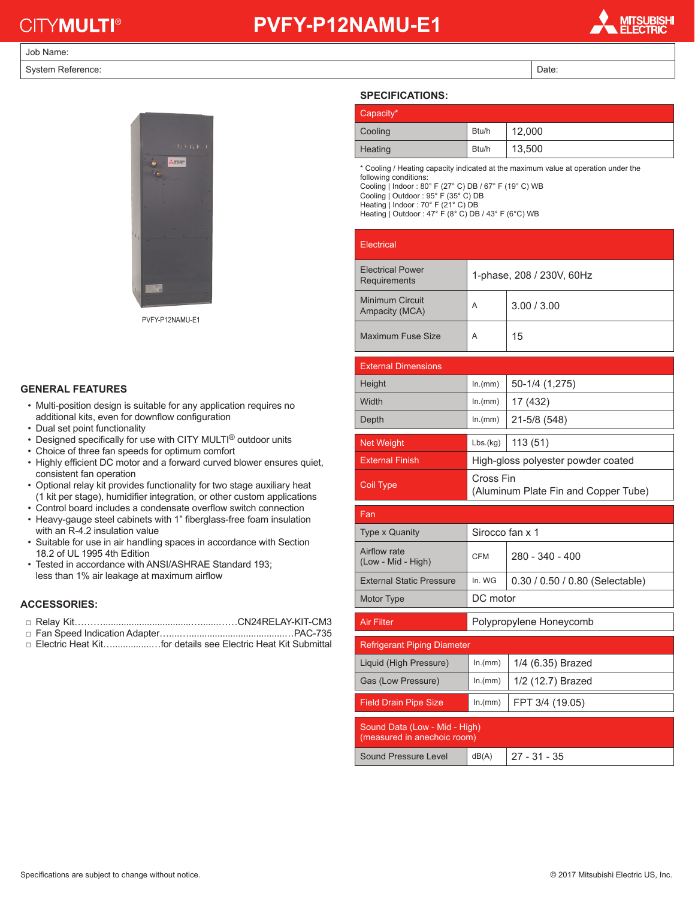# **CITYMULTI®**

### **PVFY-P12NAMU-E1**

**TSUBISHI<br>ECTRIC** 

#### Job Name:

System Reference: Date: Date: Date: Date: Date: Date: Date: Date: Date: Date: Date: Date: Date: Date: Date: Date: Date: Date: Date: Date: Date: Date: Date: Date: Date: Date: Date: Date: Date: Date: Date: Date: Date: Date:



PVFY-P12NAMU-E1

#### **GENERAL FEATURES**

- Multi-position design is suitable for any application requires no additional kits, even for downflow configuration
- Dual set point functionality
- Designed specifically for use with CITY MULTI<sup>®</sup> outdoor units
- Choice of three fan speeds for optimum comfort
- Highly efficient DC motor and a forward curved blower ensures quiet, consistent fan operation
- Optional relay kit provides functionality for two stage auxiliary heat (1 kit per stage), humidifier integration, or other custom applications
- Control board includes a condensate overflow switch connection • Heavy-gauge steel cabinets with 1" fiberglass-free foam insulation with an R-4.2 insulation value
- Suitable for use in air handling spaces in accordance with Section 18.2 of UL 1995 4th Edition
- Tested in accordance with ANSI/ASHRAE Standard 193; less than 1% air leakage at maximum airflow

#### **ACCESSORIES:**

- □ Relay Kit………..................................….......……CN24RELAY-KIT-CM3
- □ Fan Speed Indication Adapter…....….....................................…PAC-735
- □ Electric Heat Kit…...................for details see Electric Heat Kit Submittal

| <b>SPECIFICATIONS:</b> |       |        |
|------------------------|-------|--------|
| Capacity*              |       |        |
| Cooling                | Btu/h | 12.000 |
| Heating                | Btu/h | 13,500 |

\* Cooling / Heating capacity indicated at the maximum value at operation under the following conditions:

Cooling | Indoor : 80° F (27° C) DB / 67° F (19° C) WB Cooling | Outdoor : 95° F (35° C) DB

Heating | Indoor : 70° F (21° C) DB

Heating | Outdoor : 47° F (8° C) DB / 43° F (6°C) WB

| Electrical                              |                           |             |
|-----------------------------------------|---------------------------|-------------|
| <b>Electrical Power</b><br>Requirements | 1-phase, 208 / 230V, 60Hz |             |
| Minimum Circuit<br>Ampacity (MCA)       | A                         | 3.00 / 3.00 |
| Maximum Fuse Size                       | A                         | 15          |

| <b>External Dimensions</b> |                                                   |                |
|----------------------------|---------------------------------------------------|----------------|
| Height                     | ln.(mm)                                           | 50-1/4 (1,275) |
| Width                      | ln.(mm)                                           | 17 (432)       |
| Depth                      | ln(mm)                                            | 21-5/8 (548)   |
|                            |                                                   |                |
| <b>Net Weight</b>          | Lbs.(kg)                                          | 113(51)        |
| <b>External Finish</b>     | High-gloss polyester powder coated                |                |
| Coil Type                  | Cross Fin<br>(Aluminum Plate Fin and Copper Tube) |                |

| Fan                                                          |                         |                                   |  |  |
|--------------------------------------------------------------|-------------------------|-----------------------------------|--|--|
| <b>Type x Quanity</b>                                        | Sirocco fan x 1         |                                   |  |  |
| Airflow rate<br>(Low - Mid - High)                           | CFM                     | $280 - 340 - 400$                 |  |  |
| <b>External Static Pressure</b>                              | In. WG                  | $0.30 / 0.50 / 0.80$ (Selectable) |  |  |
| Motor Type                                                   | DC motor                |                                   |  |  |
| <b>Air Filter</b>                                            | Polypropylene Honeycomb |                                   |  |  |
| <b>Refrigerant Piping Diameter</b>                           |                         |                                   |  |  |
|                                                              |                         |                                   |  |  |
| Liquid (High Pressure)                                       | ln.(mm)                 | 1/4 (6.35) Brazed                 |  |  |
| Gas (Low Pressure)                                           | ln.(mm)                 | 1/2 (12.7) Brazed                 |  |  |
| <b>Field Drain Pipe Size</b>                                 | ln.(mm)                 | FPT 3/4 (19.05)                   |  |  |
| Sound Data (Low - Mid - High)<br>(measured in anechoic room) |                         |                                   |  |  |